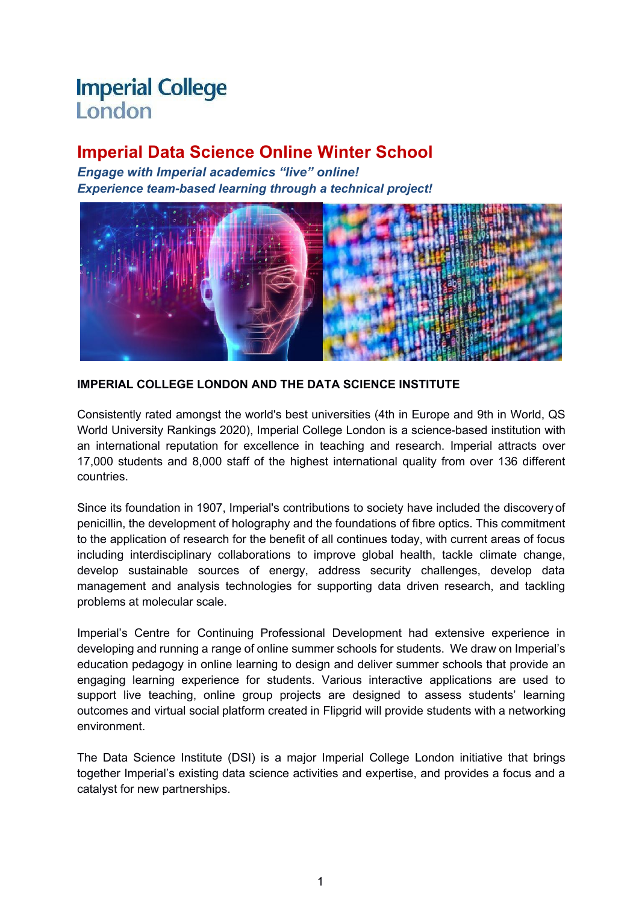# **Imperial College** London

# **Imperial Data Science Online Winter School**

*Engage with Imperial academics "live" online! Experience team-based learning through a technical project!*



**IMPERIAL COLLEGE LONDON AND THE DATA SCIENCE INSTITUTE**

Consistently rated amongst the world's best universities (4th in Europe and 9th in World, QS World University Rankings 2020), Imperial College London is a science-based institution with an international reputation for excellence in teaching and research. Imperial attracts over 17,000 students and 8,000 staff of the highest international quality from over 136 different countries.

Since its foundation in 1907, Imperial's contributions to society have included the discovery of penicillin, the development of holography and the foundations of fibre optics. This commitment to the application of research for the benefit of all continues today, with current areas of focus including interdisciplinary collaborations to improve global health, tackle climate change, develop sustainable sources of energy, address security challenges, develop data management and analysis technologies for supporting data driven research, and tackling problems at molecular scale.

Imperial's Centre for Continuing Professional Development had extensive experience in developing and running a range of online summer schools for students. We draw on Imperial's education pedagogy in online learning to design and deliver summer schools that provide an engaging learning experience for students. Various interactive applications are used to support live teaching, online group projects are designed to assess students' learning outcomes and virtual social platform created in Flipgrid will provide students with a networking environment.

The Data Science Institute (DSI) is a major Imperial College London initiative that brings together Imperial's existing data science activities and expertise, and provides a focus and a catalyst for new partnerships.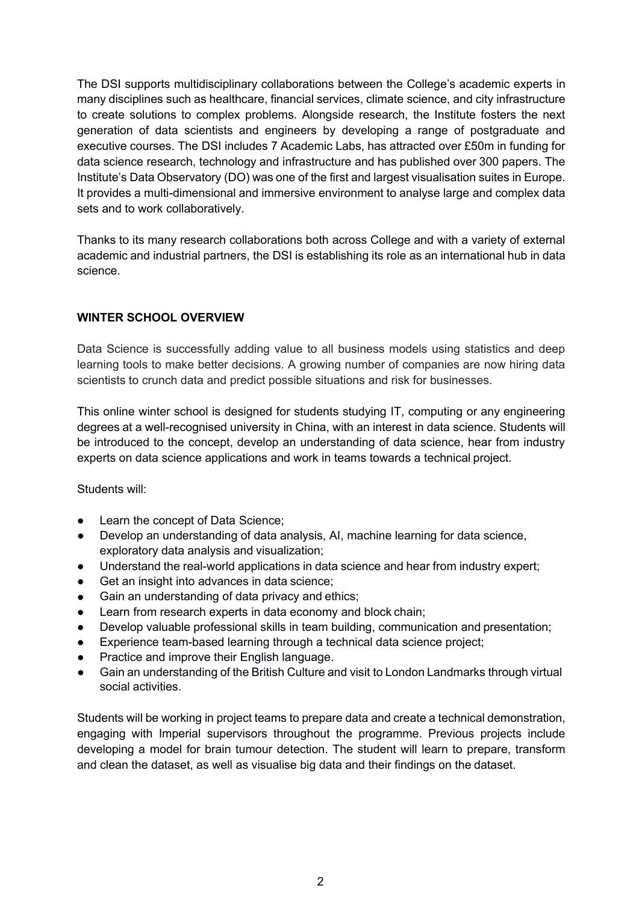The DSI supports multidisciplinary collaborations between the College's academic experts in many disciplines such as healthcare, financial services, climate science, and city infrastructure to create solutions to complex problems. Alongside research, the Institute fosters the next generation of data scientists and engineers by developing a range of postgraduate and executive courses. The DSI includes 7 Academic Labs, has attracted over £50m in funding for data science research, technology and infrastructure and has published over 300 papers. The Institute's Data Observatory (DO) was one of the first and largest visualisation suites in Europe. It provides a multi-dimensional and immersive environment to analyse large and complex data sets and to work collaboratively.

Thanks to its many research collaborations both across College and with a variety of external academic and industrial partners, the DSI is establishing its role as an international hub in data science.

### **WINTER SCHOOL OVERVIEW**

Data Science is successfully adding value to all business models using statistics and deep learning tools to make better decisions. A growing number of companies are now hiring data scientists to crunch data and predict possible situations and risk for businesses.

This online winter school is designed for students studying IT, computing or any engineering degrees at a well-recognised university in China, with an interest in data science. Students will be introduced to the concept, develop an understanding of data science, hear from industry experts on data science applications and work in teams towards a technical project.

Students will:

- Learn the concept of Data Science;
- Develop an understanding of data analysis, AI, machine learning for data science, exploratory data analysis and visualization;
- Understand the real-world applications in data science and hear from industry expert;
- Get an insight into advances in data science;
- Gain an understanding of data privacy and ethics;
- Learn from research experts in data economy and block chain;
- Develop valuable professional skills in team building, communication and presentation;
- Experience team-based learning through a technical data science project;
- Practice and improve their English language.
- Gain an understanding of the British Culture and visit to London Landmarks through virtual social activities.

Students will be working in project teams to prepare data and create a technical demonstration, engaging with Imperial supervisors throughout the programme. Previous projects include developing a model for brain tumour detection. The student will learn to prepare, transform and clean the dataset, as well as visualise big data and their findings on the dataset.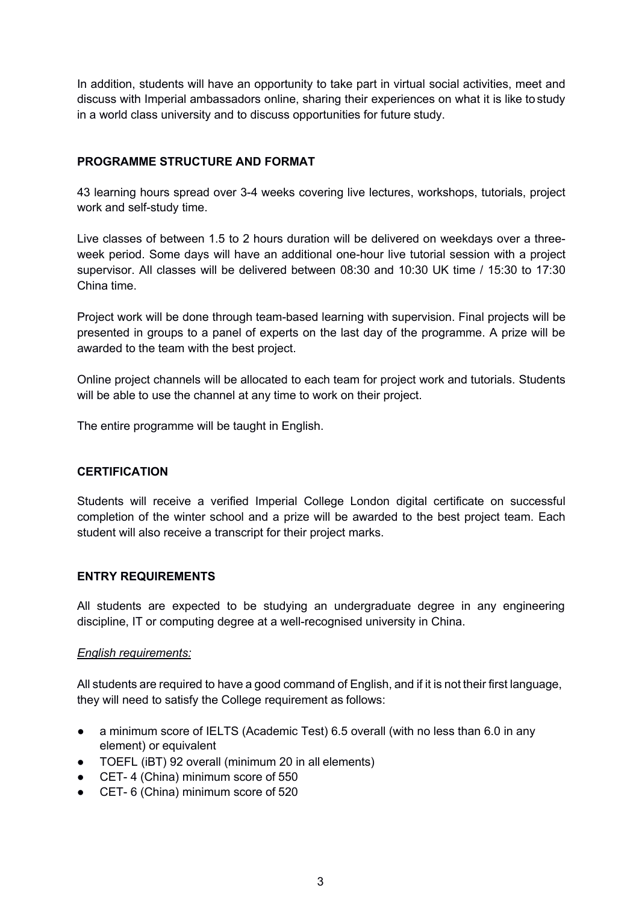In addition, students will have an opportunity to take part in virtual social activities, meet and discuss with Imperial ambassadors online, sharing their experiences on what it is like to study in a world class university and to discuss opportunities for future study.

#### **PROGRAMME STRUCTURE AND FORMAT**

43 learning hours spread over 3-4 weeks covering live lectures, workshops, tutorials, project work and self-study time.

Live classes of between 1.5 to 2 hours duration will be delivered on weekdays over a three week period. Some days will have an additional one-hour live tutorial session with a project supervisor. All classes will be delivered between 08:30 and 10:30 UK time / 15:30 to 17:30 China time.

Project work will be done through team-based learning with supervision. Final projects will be presented in groups to a panel of experts on the last day of the programme. A prize will be awarded to the team with the best project.

Online project channels will be allocated to each team for project work and tutorials. Students will be able to use the channel at any time to work on their project.

The entire programme will be taught in English.

#### **CERTIFICATION**

Students will receive a verified Imperial College London digital certificate on successful completion of the winter school and a prize will be awarded to the best project team. Each student will also receive a transcript for their project marks.

#### **ENTRY REQUIREMENTS**

All students are expected to be studying an undergraduate degree in any engineering discipline, IT or computing degree at a well-recognised university in China.

#### *English requirements:*

All students are required to have a good command of English, and if it is not their first language, they will need to satisfy the College requirement as follows:

- a minimum score of IELTS (Academic Test) 6.5 overall (with no less than 6.0 in any element) or equivalent
- TOEFL (iBT) 92 overall (minimum 20 in all elements)
- CET-4 (China) minimum score of 550
- CET- 6 (China) minimum score of 520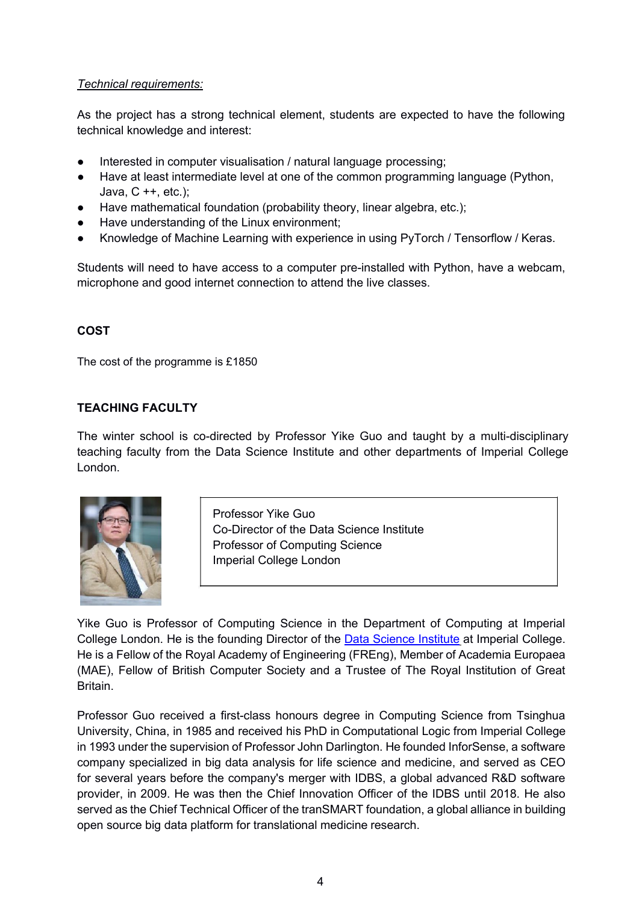*Technical requirements:* Technical requirements:<br>
As the project has a strong technical element, students are expected to have the following<br>
technical knowledge and interest:<br>
● Interested in computer visualisation / natural language processing; Technical requirements:<br>
As the project has a strong technical element, students and<br>
technical knowledge and interest:<br>
• Interested in computer visualisation / natural language<br>
• Have at least intermediate level at one **Technical requirements:**<br>
As the project has a strong technical element, students are expected to have the following<br>
technical knowledge and interest:<br>
• Interested in computer visualisation / natural language processing Technical requirements:<br>
As the project has a strong technical element, students are expected to have the following<br>
technical knowledge and interest:<br>
■ Interested in computer visualisation / natural language processing; Technical requirements:<br>
As the project has a strong technical element, students are expected to have the following<br>
technical knowledge and interest:<br>
● Interested in computer visualisation / natural language processing;

- 
- **Fechnical requirements:**<br>
As the project has a strong technical element, students are expected to have the following<br>
technical knowledge and interest:<br>
 Interested in computer visualisation / natural language processin mical requirements:<br>
he project has a strong technical element, st<br>
nical knowledge and interest:<br>
Interested in computer visualisation / natural la<br>
Have at least intermediate level at one of the c<br>
Java, C ++, etc.);<br>
Ha Technical requirements:<br>
As the project has a strong technical element, students are expected<br>
technical knowledge and interest:<br>
■ Interested in computer visualisation / natural language processing;<br>
■ Have at least inte
- 
- 
- 

Students will need to have access to a computer pre-installed with Python, have a webcam, microphone and good internet connection to attend the live classes.

### **COST**

The cost of the programme is £1850

### **TEACHING FACULTY**

is £1850<br>
directed by Professor Yike Guo and taught by a multi-disciplina<br>
Data Science Institute and other departments of Imperial Colleg<br>
Professor Yike Guo<br>
Co-Director of the Data Science Institute<br>
Professor of Comput directed by Professor Yike Guo and taught by a multi-di<br>Data Science Institute and other departments of Imperia<br>Professor Yike Guo<br>Co-Director of the Data Science Institute<br>Professor of Computing Science<br>Imperial College L The winter school is co-directed by Professor Yike Guo and taught by a multi-disciplinary teaching faculty from the Data Science Institute and other departments of Imperial College London.



is £1850<br>
directed by Professor Yike Guo and taught by<br>
Data Science Institute and other departments of<br>
Professor Yike Guo<br>
Co-Director of the Data Science Institute<br>
Professor of Computing Science<br>
Imperial College Londo directed by Professor Yike Guo and taught by a<br>Data Science Institute and other departments of<br>Professor Yike Guo<br>Co-Director of the Data Science Institute<br>Professor of Computing Science<br>Imperial College London

Fromthe Data Science Institute and other departments of Imperial College<br>
London.<br>
The Co-Director of the Data Science Institute<br>
Professor of Computing Science<br>
Imperial College London<br>
The Guo is Professor of Computing For the Data Science Institute<br>
Co-Director of the Data Science Institute<br>
Professor of Computing Science<br>
Imperial College London<br>
College London<br>
College London. He is the founding Director of the Data Science Institute Professor Yike Guo<br>
Co-Director of the Data Science Institute<br>
Professor of Computing Science<br>
Imperial College London<br>
Xike Guo is Professor of Computing Science in the Department of Computing at Imperial<br>
College London. Frofessor Sike Guo<br>
Co-Director of the Data Science Institute<br>
Professor of Computing Science<br>
Imperial College London<br>
Mike Guo is Professor of Computing Science in the Department of Computing at Imperial<br>
College London. Britain. Professor of Computing Science<br>
Imperial College London<br>
Yike Guo is Professor of Computing Science in the Department of Computing at Imperial<br>
College London. He is the founding Director of the <u>Data Science Institute</u> at

Imperial College London<br>
Vike Guo is Professor of Computing Science in the Department of Computing at Imperial<br>
College London. He is the founding Director of the <u>Data Science Institute</u> at Imperial College.<br>
He is a Fell Yike Guo is Professor of Computing Science in the Department of Computing at Imperial<br>College London. He is the founding Director of the <u>Data Science Institute</u> at Imperial College.<br>He is a Fellow of the Royal Academy of Yike Guo is Professor of Computing Science in the Department of Computing at Imperial College London. He is the founding Director of the <u>Data Science Institute</u> at Imperial College.<br>He is a Fellow of the Royal Academy of The Guo is Professor of Computing Science in the Department of Computing at Imperial College London. He is the founding Director of the <u>Data Science Institute</u> at Imperial College. He is a Fellow of the Royal Academy of E Yike Guo is Professor of Computing Science in the Department of Computing at Imperial<br>College London. He is the founding Director of the <u>Data Science Institute</u> at Imperial College.<br>He is a Fellow of the Royal Academy of College London. He is the founding Director of the <u>Data Science Institute</u> at Imperial College.<br>He is a Fellow of the Royal Academy of Engineering (FREng), Member of Academia Europaea<br>(MAE), Fellow of British Computer Soc He is a Fellow of the Royal Academy of Engineering (FREng), Member of Academia Europa<br>(MAE), Fellow of British Computer Society and a Trustee of The Royal Institution of Gr<br>Britain.<br>Professor Guo received a first-class hon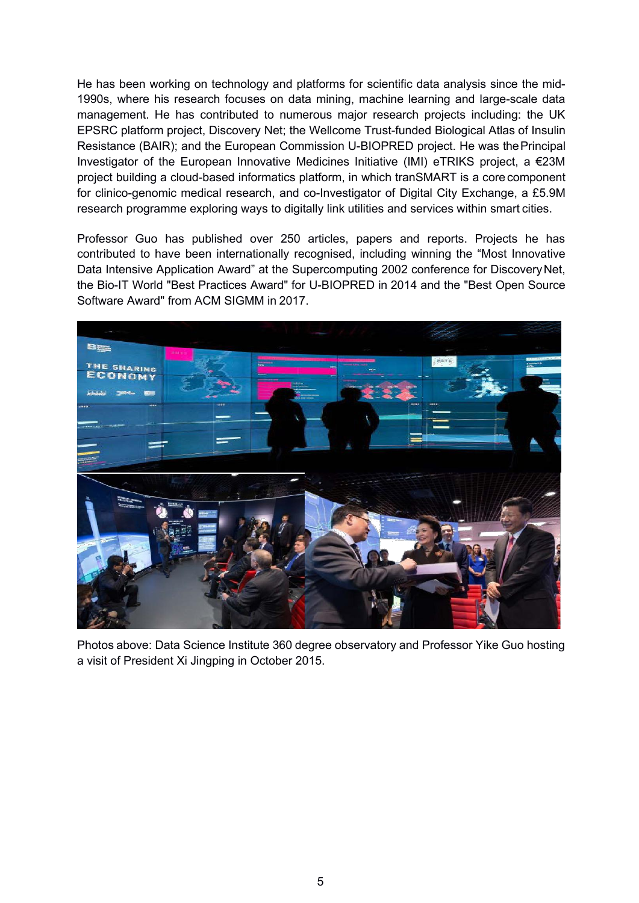He has been working on technology and platforms for scientific data analysis since the mid- 1990s, where his research focuses on data mining, machine learning and large-scale data management. He has contributed to numerous major research projects including: the UK EPSRC platform project, Discovery Net; the Wellcome Trust-funded Biological Atlas of Insulin Resistance (BAIR); and the European Commission U-BIOPRED project. He was thePrincipal Investigator of the European Innovative Medicines Initiative (IMI) eTRIKS project, a €23M project building a cloud-based informatics platform, in which tranSMART is a core component for clinico-genomic medical research, and co-Investigator of Digital City Exchange, a £5.9M research programme exploring ways to digitally link utilities and services within smart cities.

Professor Guo has published over 250 articles, papers and reports. Projects he has contributed to have been internationally recognised, including winning the "Most Innovative Data Intensive Application Award" at the Supercomputing 2002 conference for Discovery Net, the Bio-IT World "Best Practices Award" for U-BIOPRED in 2014 and the "Best Open Source Software Award" from ACM SIGMM in 2017.



Photos above: Data Science Institute 360 degree observatory and Professor Yike Guo hosting a visit of President Xi Jingping in October 2015.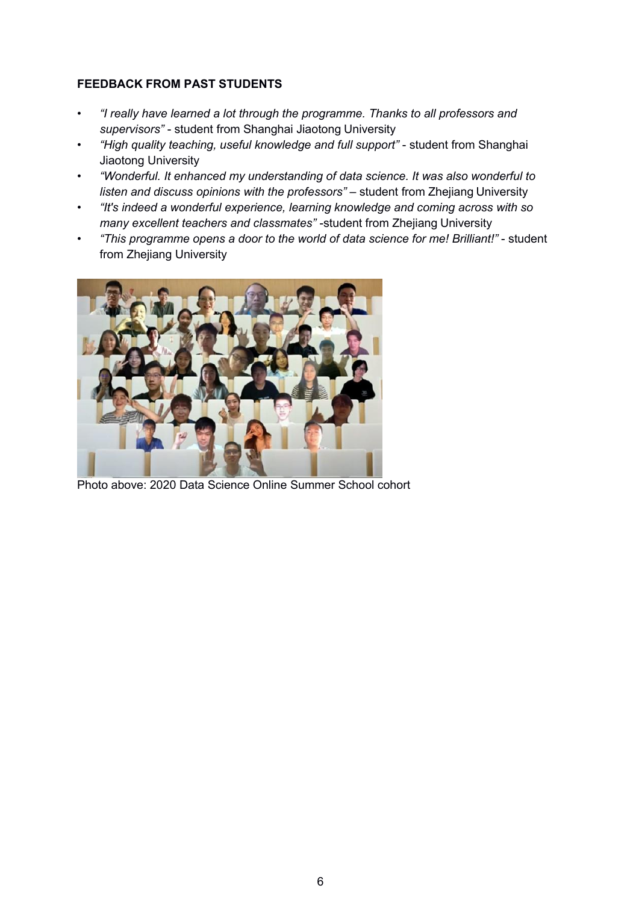#### **FEEDBACK FROM PAST STUDENTS**

- *"I really have learned a lot through the programme. Thanks to all professors and supervisors"* - student from Shanghai Jiaotong University
- *"High quality teaching, useful knowledge and full support"* student from Shanghai Jiaotong University
- *"Wonderful. It enhanced my understanding of data science. It was also wonderful to listen and discuss opinions with the professors"* – student from Zhejiang University
- *"It's indeed a wonderful experience, learning knowledge and coming across with so many* excellent teachers and classmates" - student from Zhejiang University
- *"This programme opens a door to the world of data science for me! Brilliant!"* student from Zhejiang University



Photo above: 2020 Data Science Online Summer School cohort